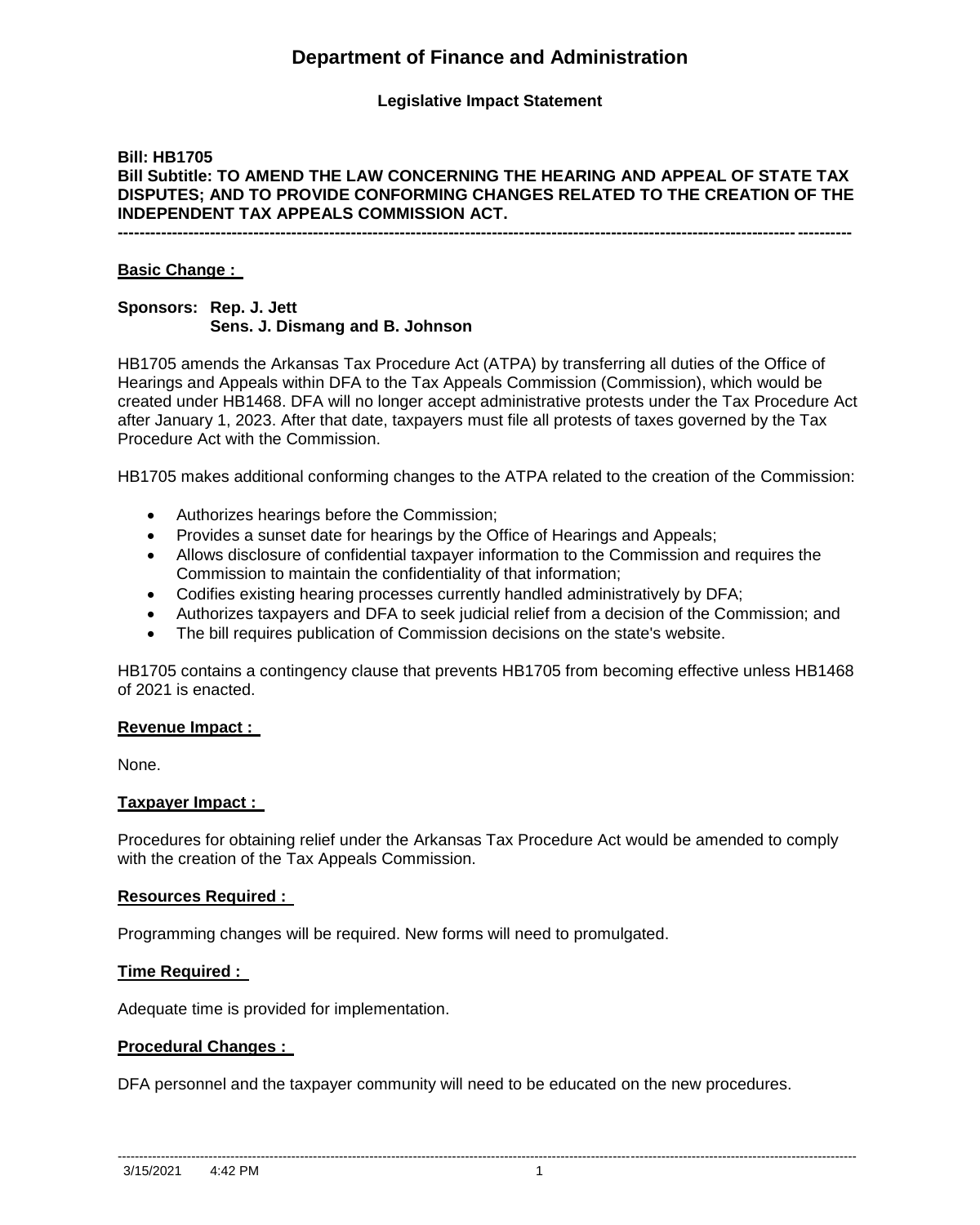# **Department of Finance and Administration**

## **Legislative Impact Statement**

## **Bill: HB1705 Bill Subtitle: TO AMEND THE LAW CONCERNING THE HEARING AND APPEAL OF STATE TAX DISPUTES; AND TO PROVIDE CONFORMING CHANGES RELATED TO THE CREATION OF THE INDEPENDENT TAX APPEALS COMMISSION ACT.**

**---------------------------------------------------------------------------------------------------------------------------------------**

#### **Basic Change :**

## **Sponsors: Rep. J. Jett Sens. J. Dismang and B. Johnson**

HB1705 amends the Arkansas Tax Procedure Act (ATPA) by transferring all duties of the Office of Hearings and Appeals within DFA to the Tax Appeals Commission (Commission), which would be created under HB1468. DFA will no longer accept administrative protests under the Tax Procedure Act after January 1, 2023. After that date, taxpayers must file all protests of taxes governed by the Tax Procedure Act with the Commission.

HB1705 makes additional conforming changes to the ATPA related to the creation of the Commission:

- Authorizes hearings before the Commission;
- Provides a sunset date for hearings by the Office of Hearings and Appeals;
- Allows disclosure of confidential taxpayer information to the Commission and requires the Commission to maintain the confidentiality of that information;
- Codifies existing hearing processes currently handled administratively by DFA;
- Authorizes taxpayers and DFA to seek judicial relief from a decision of the Commission; and
- The bill requires publication of Commission decisions on the state's website.

HB1705 contains a contingency clause that prevents HB1705 from becoming effective unless HB1468 of 2021 is enacted.

#### **Revenue Impact :**

None.

#### **Taxpayer Impact :**

Procedures for obtaining relief under the Arkansas Tax Procedure Act would be amended to comply with the creation of the Tax Appeals Commission.

#### **Resources Required :**

Programming changes will be required. New forms will need to promulgated.

#### **Time Required :**

Adequate time is provided for implementation.

#### **Procedural Changes :**

DFA personnel and the taxpayer community will need to be educated on the new procedures.